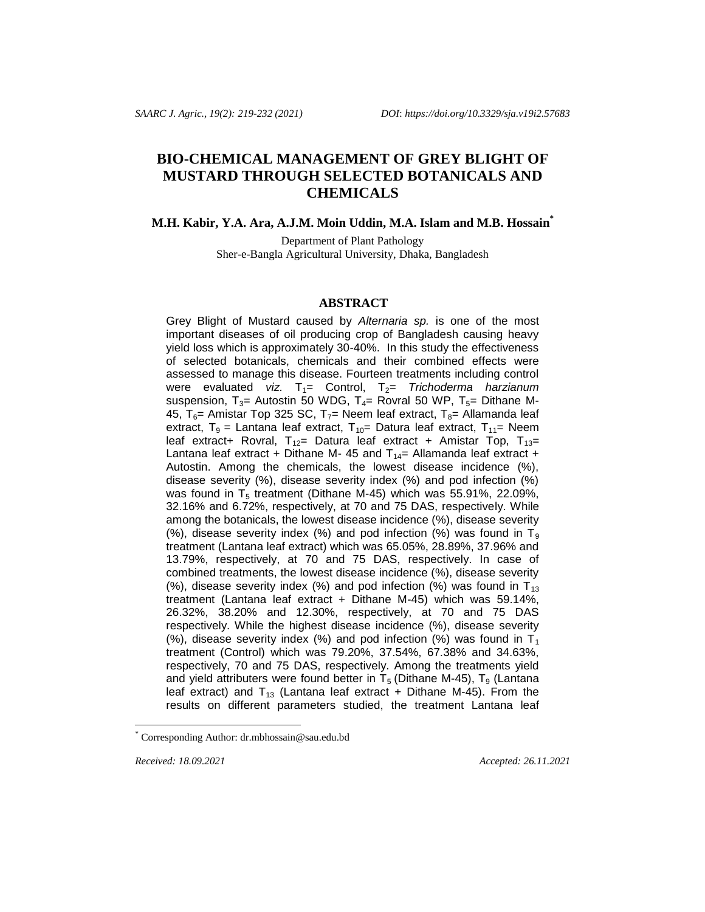# **BIO-CHEMICAL MANAGEMENT OF GREY BLIGHT OF MUSTARD THROUGH SELECTED BOTANICALS AND CHEMICALS**

**M.H. Kabir, Y.A. Ara, A.J.M. Moin Uddin, M.A. Islam and M.B. Hossain\***

Department of Plant Pathology Sher-e-Bangla Agricultural University, Dhaka, Bangladesh

#### **ABSTRACT**

Grey Blight of Mustard caused by *Alternaria sp.* is one of the most important diseases of oil producing crop of Bangladesh causing heavy yield loss which is approximately 30-40%. In this study the effectiveness of selected botanicals, chemicals and their combined effects were assessed to manage this disease. Fourteen treatments including control were evaluated *viz.* T<sub>1</sub>= Control, T<sub>2</sub>= *Trichoderma harzianum* suspension,  $T_3$ = Autostin 50 WDG,  $T_4$ = Rovral 50 WP,  $T_5$ = Dithane M-45,  $T_6$ = Amistar Top 325 SC, T<sub>7</sub>= Neem leaf extract, T<sub>8</sub>= Allamanda leaf extract,  $T_9$  = Lantana leaf extract,  $T_{10}$  = Datura leaf extract,  $T_{11}$  = Neem leaf extract+ Rovral,  $T_{12}=$  Datura leaf extract + Amistar Top,  $T_{13}=$ Lantana leaf extract + Dithane M- 45 and  $T_{14}$ = Allamanda leaf extract + Autostin. Among the chemicals, the lowest disease incidence (%), disease severity (%), disease severity index (%) and pod infection (%) was found in  $T_5$  treatment (Dithane M-45) which was 55.91%, 22.09%, 32.16% and 6.72%, respectively, at 70 and 75 DAS, respectively. While among the botanicals, the lowest disease incidence (%), disease severity (%), disease severity index (%) and pod infection (%) was found in  $T_9$ treatment (Lantana leaf extract) which was 65.05%, 28.89%, 37.96% and 13.79%, respectively, at 70 and 75 DAS, respectively. In case of combined treatments, the lowest disease incidence (%), disease severity (%), disease severity index (%) and pod infection (%) was found in  $T_{13}$ treatment (Lantana leaf extract + Dithane M-45) which was 59.14%, 26.32%, 38.20% and 12.30%, respectively, at 70 and 75 DAS respectively. While the highest disease incidence (%), disease severity (%), disease severity index (%) and pod infection (%) was found in  $T_1$ treatment (Control) which was 79.20%, 37.54%, 67.38% and 34.63%, respectively, 70 and 75 DAS, respectively. Among the treatments yield and yield attributers were found better in  $T_5$  (Dithane M-45),  $T_9$  (Lantana leaf extract) and  $T_{13}$  (Lantana leaf extract + Dithane M-45). From the results on different parameters studied, the treatment Lantana leaf

l

*Received: 18.09.2021* Accepted: 26.11.2021

Corresponding Author[: dr.mbhossain@sau.edu.bd](mailto:dr.mbhossain@sau.edu.bd)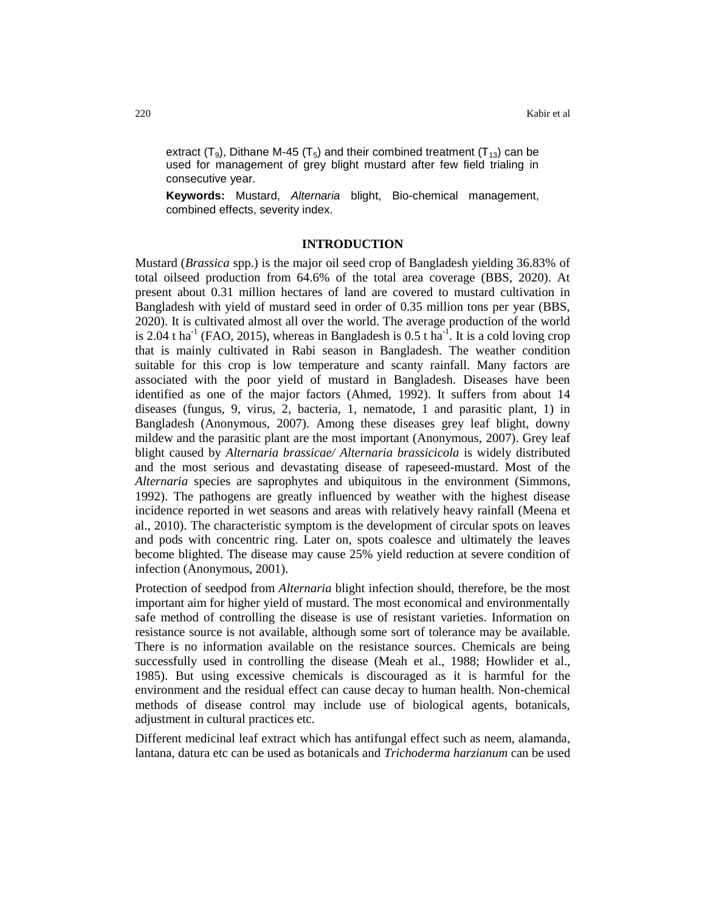extract  $(T_9)$ , Dithane M-45  $(T_5)$  and their combined treatment  $(T_{13})$  can be used for management of grey blight mustard after few field trialing in consecutive year.

**Keywords:** Mustard, *Alternaria* blight, Bio-chemical management, combined effects, severity index.

### **INTRODUCTION**

Mustard (*Brassica* spp.) is the major oil seed crop of Bangladesh yielding 36.83% of total oilseed production from 64.6% of the total area coverage (BBS, 2020). At present about 0.31 million hectares of land are covered to mustard cultivation in Bangladesh with yield of mustard seed in order of 0.35 million tons per year (BBS, 2020). It is cultivated almost all over the world. The average production of the world is 2.04 t ha<sup>-1</sup> (FAO, 2015), whereas in Bangladesh is 0.5 t ha<sup>-1</sup>. It is a cold loving crop that is mainly cultivated in Rabi season in Bangladesh. The weather condition suitable for this crop is low temperature and scanty rainfall. Many factors are associated with the poor yield of mustard in Bangladesh. Diseases have been identified as one of the major factors (Ahmed, 1992). It suffers from about 14 diseases (fungus, 9, virus, 2, bacteria, 1, nematode, 1 and parasitic plant, 1) in Bangladesh (Anonymous, 2007). Among these diseases grey leaf blight, downy mildew and the parasitic plant are the most important (Anonymous, 2007). Grey leaf blight caused by *Alternaria brassicae/ Alternaria brassicicola* is widely distributed and the most serious and devastating disease of rapeseed-mustard. Most of the *Alternaria* species are saprophytes and ubiquitous in the environment (Simmons, 1992). The pathogens are greatly influenced by weather with the highest disease incidence reported in wet seasons and areas with relatively heavy rainfall (Meena et al., 2010). The characteristic symptom is the development of circular spots on leaves and pods with concentric ring. Later on, spots coalesce and ultimately the leaves become blighted. The disease may cause 25% yield reduction at severe condition of infection (Anonymous, 2001).

Protection of seedpod from *Alternaria* blight infection should, therefore, be the most important aim for higher yield of mustard. The most economical and environmentally safe method of controlling the disease is use of resistant varieties. Information on resistance source is not available, although some sort of tolerance may be available. There is no information available on the resistance sources. Chemicals are being successfully used in controlling the disease (Meah et al., 1988; Howlider et al., 1985). But using excessive chemicals is discouraged as it is harmful for the environment and the residual effect can cause decay to human health. Non-chemical methods of disease control may include use of biological agents, botanicals, adjustment in cultural practices etc.

Different medicinal leaf extract which has antifungal effect such as neem, alamanda, lantana, datura etc can be used as botanicals and *Trichoderma harzianum* can be used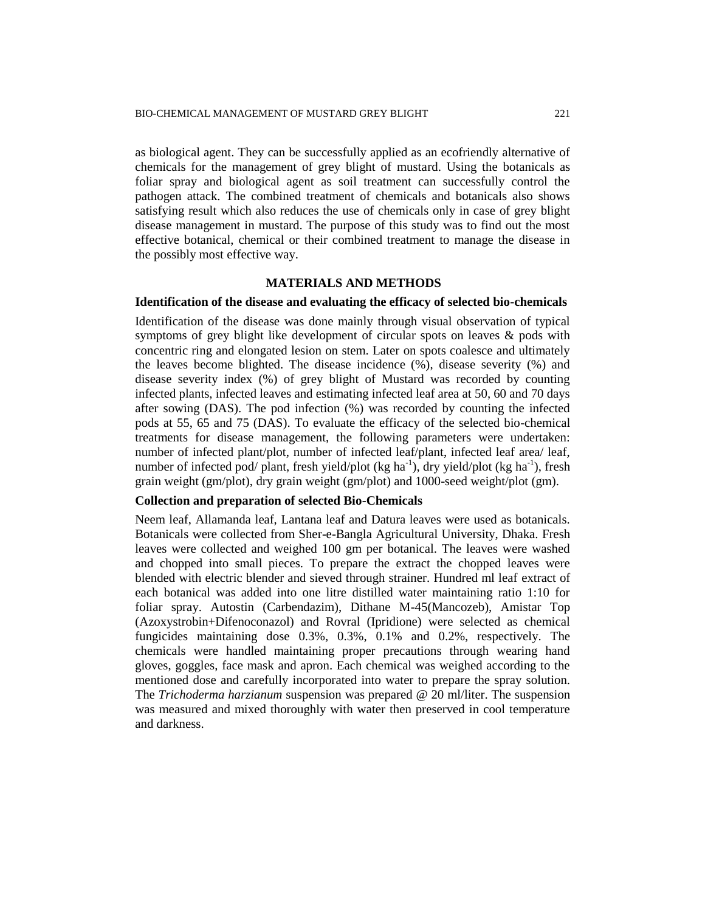as biological agent. They can be successfully applied as an ecofriendly alternative of chemicals for the management of grey blight of mustard. Using the botanicals as foliar spray and biological agent as soil treatment can successfully control the pathogen attack. The combined treatment of chemicals and botanicals also shows satisfying result which also reduces the use of chemicals only in case of grey blight disease management in mustard. The purpose of this study was to find out the most effective botanical, chemical or their combined treatment to manage the disease in the possibly most effective way.

### **MATERIALS AND METHODS**

### **Identification of the disease and evaluating the efficacy of selected bio-chemicals**

Identification of the disease was done mainly through visual observation of typical symptoms of grey blight like development of circular spots on leaves & pods with concentric ring and elongated lesion on stem. Later on spots coalesce and ultimately the leaves become blighted. The disease incidence (%), disease severity (%) and disease severity index (%) of grey blight of Mustard was recorded by counting infected plants, infected leaves and estimating infected leaf area at 50, 60 and 70 days after sowing (DAS). The pod infection (%) was recorded by counting the infected pods at 55, 65 and 75 (DAS). To evaluate the efficacy of the selected bio-chemical treatments for disease management, the following parameters were undertaken: number of infected plant/plot, number of infected leaf/plant, infected leaf area/ leaf, number of infected pod/ plant, fresh yield/plot (kg ha<sup>-1</sup>), dry yield/plot (kg ha<sup>-1</sup>), fresh grain weight (gm/plot), dry grain weight (gm/plot) and 1000-seed weight/plot (gm).

# **Collection and preparation of selected Bio-Chemicals**

Neem leaf, Allamanda leaf, Lantana leaf and Datura leaves were used as botanicals. Botanicals were collected from Sher-e-Bangla Agricultural University, Dhaka. Fresh leaves were collected and weighed 100 gm per botanical. The leaves were washed and chopped into small pieces. To prepare the extract the chopped leaves were blended with electric blender and sieved through strainer. Hundred ml leaf extract of each botanical was added into one litre distilled water maintaining ratio 1:10 for foliar spray. Autostin (Carbendazim), Dithane M-45(Mancozeb), Amistar Top (Azoxystrobin+Difenoconazol) and Rovral (Ipridione) were selected as chemical fungicides maintaining dose 0.3%, 0.3%, 0.1% and 0.2%, respectively. The chemicals were handled maintaining proper precautions through wearing hand gloves, goggles, face mask and apron. Each chemical was weighed according to the mentioned dose and carefully incorporated into water to prepare the spray solution. The *Trichoderma harzianum* suspension was prepared @ 20 ml/liter. The suspension was measured and mixed thoroughly with water then preserved in cool temperature and darkness.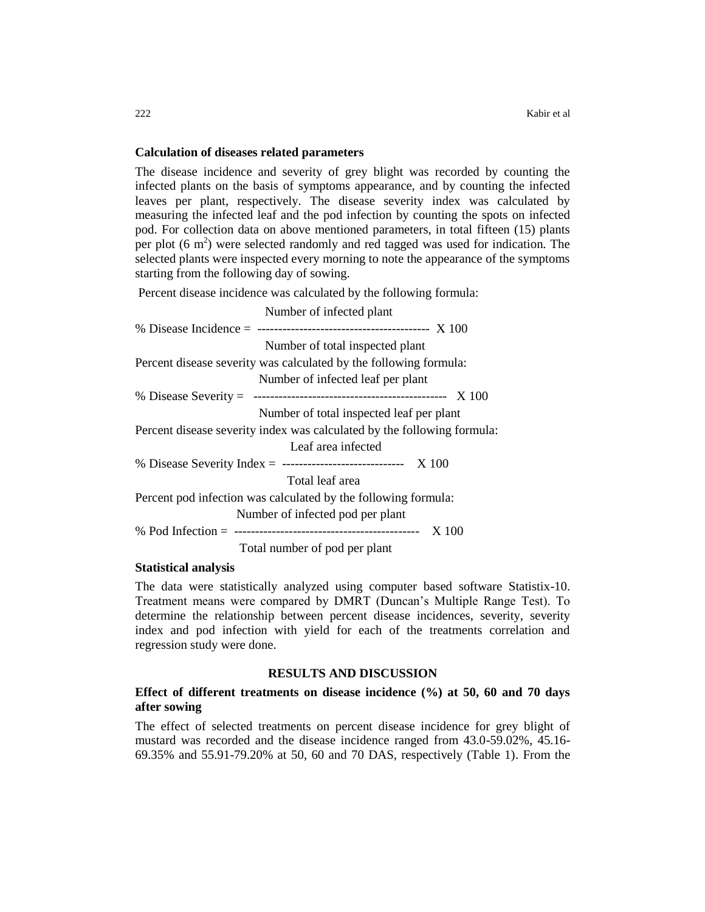## **Calculation of diseases related parameters**

The disease incidence and severity of grey blight was recorded by counting the infected plants on the basis of symptoms appearance, and by counting the infected leaves per plant, respectively. The disease severity index was calculated by measuring the infected leaf and the pod infection by counting the spots on infected pod. For collection data on above mentioned parameters, in total fifteen (15) plants per plot  $(6 \text{ m}^2)$  were selected randomly and red tagged was used for indication. The selected plants were inspected every morning to note the appearance of the symptoms starting from the following day of sowing.

Percent disease incidence was calculated by the following formula:

| Number of infected plant                                                |
|-------------------------------------------------------------------------|
|                                                                         |
| Number of total inspected plant                                         |
| Percent disease severity was calculated by the following formula:       |
| Number of infected leaf per plant                                       |
|                                                                         |
| Number of total inspected leaf per plant                                |
| Percent disease severity index was calculated by the following formula: |
| Leaf area infected                                                      |
| % Disease Severity Index = --------------------------------- $X$ 100    |
| Total leaf area                                                         |
| Percent pod infection was calculated by the following formula:          |
| Number of infected pod per plant                                        |
|                                                                         |
| Total number of pod per plant                                           |

#### **Statistical analysis**

The data were statistically analyzed using computer based software Statistix-10. Treatment means were compared by DMRT (Duncan's Multiple Range Test). To determine the relationship between percent disease incidences, severity, severity index and pod infection with yield for each of the treatments correlation and regression study were done.

## **RESULTS AND DISCUSSION**

# **Effect of different treatments on disease incidence (%) at 50, 60 and 70 days after sowing**

The effect of selected treatments on percent disease incidence for grey blight of mustard was recorded and the disease incidence ranged from 43.0-59.02%, 45.16- 69.35% and 55.91-79.20% at 50, 60 and 70 DAS, respectively (Table 1). From the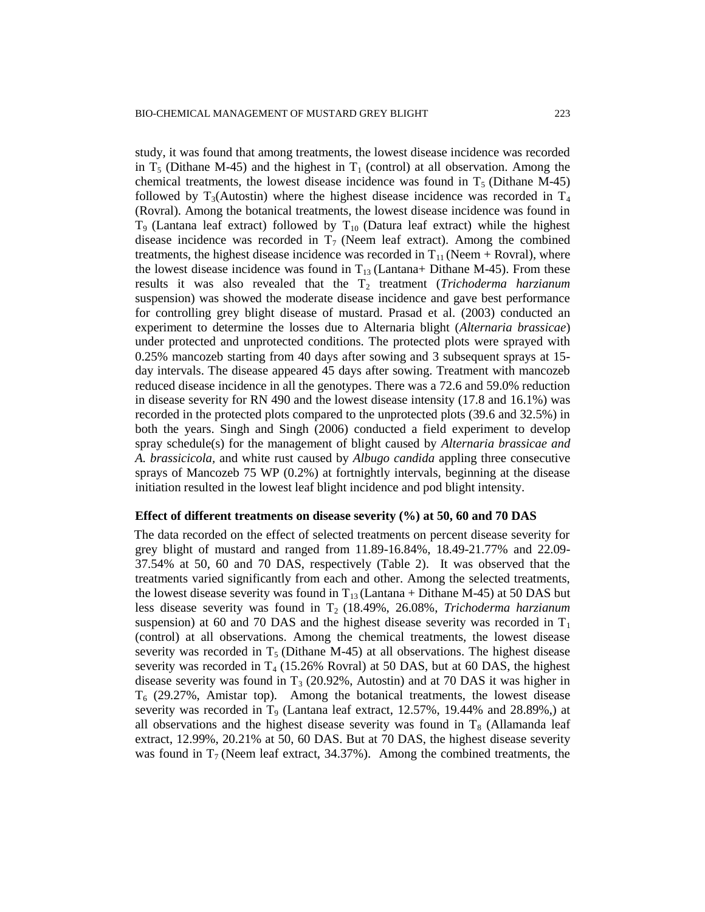study, it was found that among treatments, the lowest disease incidence was recorded in  $T_5$  (Dithane M-45) and the highest in  $T_1$  (control) at all observation. Among the chemical treatments, the lowest disease incidence was found in  $T<sub>5</sub>$  (Dithane M-45) followed by  $T_3$ (Autostin) where the highest disease incidence was recorded in  $T_4$ (Rovral). Among the botanical treatments, the lowest disease incidence was found in  $T_9$  (Lantana leaf extract) followed by  $T_{10}$  (Datura leaf extract) while the highest disease incidence was recorded in  $T_7$  (Neem leaf extract). Among the combined treatments, the highest disease incidence was recorded in  $T_{11}$  (Neem + Rovral), where the lowest disease incidence was found in  $T_{13}$  (Lantana+ Dithane M-45). From these results it was also revealed that the T<sub>2</sub> treatment (*Trichoderma harzianum* suspension) was showed the moderate disease incidence and gave best performance for controlling grey blight disease of mustard. Prasad et al. (2003) conducted an experiment to determine the losses due to Alternaria blight (*Alternaria brassicae*) under protected and unprotected conditions. The protected plots were sprayed with 0.25% mancozeb starting from 40 days after sowing and 3 subsequent sprays at 15 day intervals. The disease appeared 45 days after sowing. Treatment with mancozeb reduced disease incidence in all the genotypes. There was a 72.6 and 59.0% reduction in disease severity for RN 490 and the lowest disease intensity (17.8 and 16.1%) was recorded in the protected plots compared to the unprotected plots (39.6 and 32.5%) in both the years. Singh and Singh (2006) conducted a field experiment to develop spray schedule(s) for the management of blight caused by *Alternaria brassicae and A. brassicicola,* and white rust caused by *Albugo candida* appling three consecutive sprays of Mancozeb 75 WP (0.2%) at fortnightly intervals, beginning at the disease initiation resulted in the lowest leaf blight incidence and pod blight intensity.

#### **Effect of different treatments on disease severity (%) at 50, 60 and 70 DAS**

The data recorded on the effect of selected treatments on percent disease severity for grey blight of mustard and ranged from 11.89-16.84%, 18.49-21.77% and 22.09- 37.54% at 50, 60 and 70 DAS, respectively (Table 2). It was observed that the treatments varied significantly from each and other. Among the selected treatments, the lowest disease severity was found in  $T_{13}$  (Lantana + Dithane M-45) at 50 DAS but less disease severity was found in T<sub>2</sub> (18.49%, 26.08%, *Trichoderma harzianum* suspension) at 60 and 70 DAS and the highest disease severity was recorded in  $T_1$ (control) at all observations. Among the chemical treatments, the lowest disease severity was recorded in  $T_5$  (Dithane M-45) at all observations. The highest disease severity was recorded in  $T_4$  (15.26% Rovral) at 50 DAS, but at 60 DAS, the highest disease severity was found in  $T_3$  (20.92%, Autostin) and at 70 DAS it was higher in  $T<sub>6</sub>$  (29.27%, Amistar top). Among the botanical treatments, the lowest disease severity was recorded in  $T<sub>9</sub>$  (Lantana leaf extract, 12.57%, 19.44% and 28.89%,) at all observations and the highest disease severity was found in  $T_8$  (Allamanda leaf extract, 12.99%, 20.21% at 50, 60 DAS. But at 70 DAS, the highest disease severity was found in  $T_7$  (Neem leaf extract, 34.37%). Among the combined treatments, the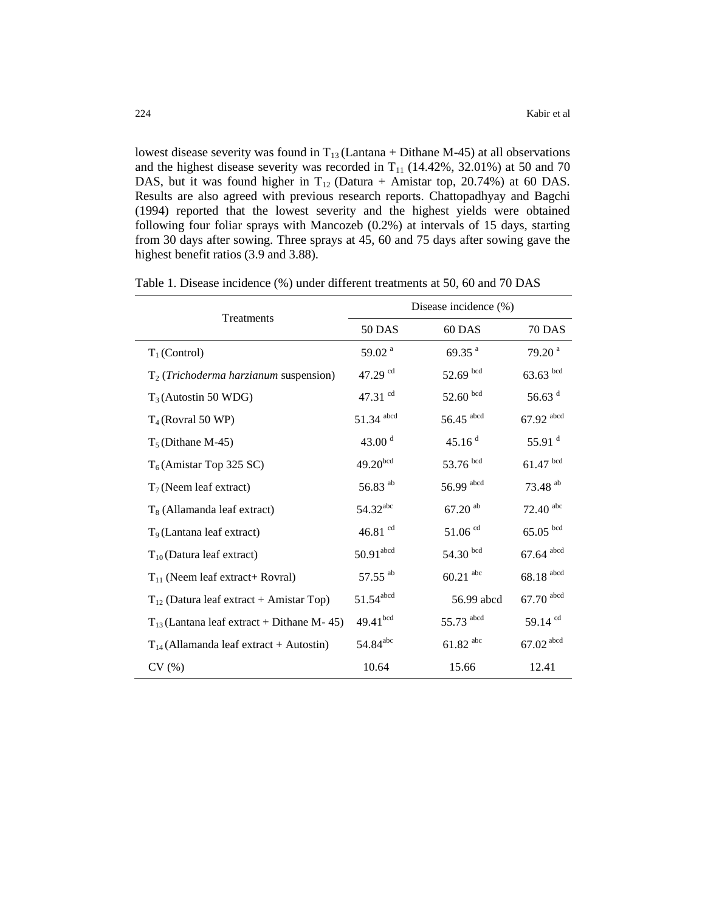lowest disease severity was found in  $T_{13}$  (Lantana + Dithane M-45) at all observations and the highest disease severity was recorded in  $T_{11}$  (14.42%, 32.01%) at 50 and 70 DAS, but it was found higher in  $T_{12}$  (Datura + Amistar top, 20.74%) at 60 DAS. Results are also agreed with previous research reports. Chattopadhyay and Bagchi (1994) reported that the lowest severity and the highest yields were obtained following four foliar sprays with Mancozeb (0.2%) at intervals of 15 days, starting from 30 days after sowing. Three sprays at 45, 60 and 75 days after sowing gave the highest benefit ratios (3.9 and 3.88).

| Treatments                                       | Disease incidence (%)   |                         |                         |
|--------------------------------------------------|-------------------------|-------------------------|-------------------------|
|                                                  | <b>50 DAS</b>           | 60 DAS                  | <b>70 DAS</b>           |
| $T_1$ (Control)                                  | 59.02 <sup>a</sup>      | 69.35 <sup>a</sup>      | 79.20 <sup>a</sup>      |
| $T_2$ ( <i>Trichoderma harzianum</i> suspension) | 47.29 cd                | $52.69$ bcd             | $63.63$ bcd             |
| $T_3$ (Autostin 50 WDG)                          | 47.31 $^{cd}$           | $52.60$ bcd             | 56.63 $d$               |
| $T_4$ (Rovral 50 WP)                             | 51.34 abcd              | $56.45$ <sup>abcd</sup> | 67.92 abcd              |
| $T_5$ (Dithane M-45)                             | 43.00 $^{\rm d}$        | 45.16 <sup>d</sup>      | 55.91 $d$               |
| $T_6$ (Amistar Top 325 SC)                       | $49.20^{bcd}$           | 53.76 bcd               | $61.47$ bcd             |
| $T_7$ (Neem leaf extract)                        | 56.83 $^{ab}$           | 56.99 abcd              | $73.48$ <sup>ab</sup>   |
| $T_8$ (Allamanda leaf extract)                   | $54.32^{abc}$           | $67.20$ <sup>ab</sup>   | $72.40$ <sup>abc</sup>  |
| $T9$ (Lantana leaf extract)                      | $46.81$ $^{\rm cd}$     | $51.06$ <sup>cd</sup>   | $65.05$ bcd             |
| $T_{10}$ (Datura leaf extract)                   | $50.91$ <sup>abcd</sup> | 54.30 bcd               | $67.64$ <sup>abcd</sup> |
| $T_{11}$ (Neem leaf extract+ Rovral)             | 57.55 ab                | $60.21$ <sup>abc</sup>  | $68.18$ <sup>abcd</sup> |
| $T_{12}$ (Datura leaf extract + Amistar Top)     | $51.54^{\rm abcd}$      | 56.99 abcd              | $67.70$ abcd            |
| $T_{13}$ (Lantana leaf extract + Dithane M-45)   | $49.41^{\rm bcd}$       | 55.73 abcd              | 59.14 <sup>cd</sup>     |
| $T_{14}$ (Allamanda leaf extract + Autostin)     | 54.84 <sup>abc</sup>    | $61.82$ <sup>abc</sup>  | $67.02\, \mathrm{abcd}$ |
| CV(%)                                            | 10.64                   | 15.66                   | 12.41                   |

Table 1. Disease incidence (%) under different treatments at 50, 60 and 70 DAS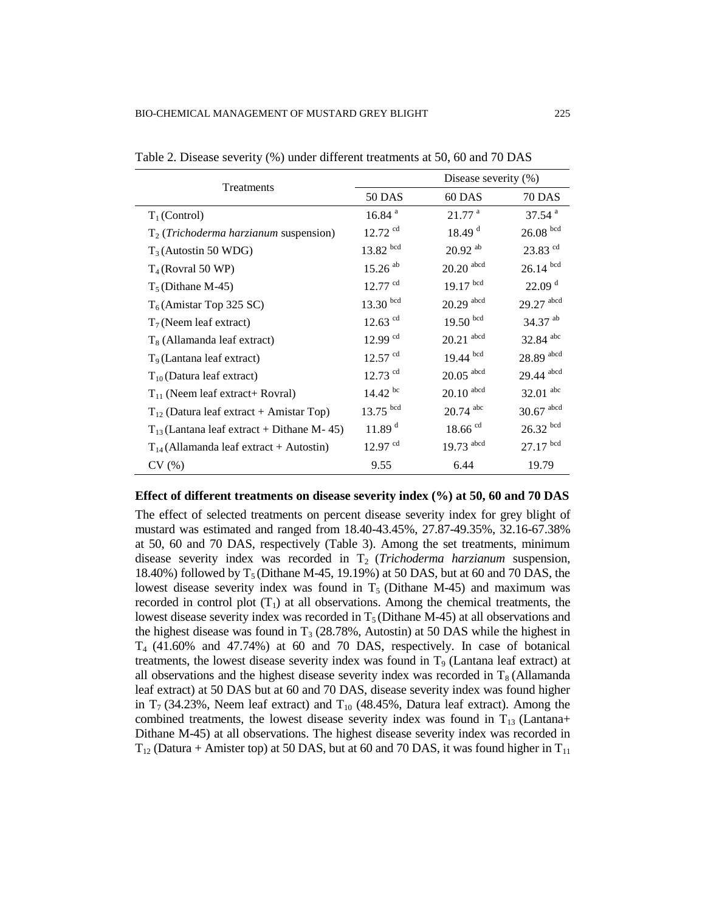| Treatments                                       |                       | Disease severity (%)    |                         |  |
|--------------------------------------------------|-----------------------|-------------------------|-------------------------|--|
|                                                  | <b>50 DAS</b>         | 60 DAS                  | <b>70 DAS</b>           |  |
| $T_1$ (Control)                                  | 16.84 <sup>a</sup>    | $21.77$ <sup>a</sup>    | $37.54$ <sup>a</sup>    |  |
| $T_2$ ( <i>Trichoderma harzianum</i> suspension) | $12.72$ <sup>cd</sup> | 18.49 <sup>d</sup>      | $26.08\;^{\rm bcd}$     |  |
| $T_3$ (Autostin 50 WDG)                          | $13.82$ bcd           | $20.92$ <sup>ab</sup>   | $23.83$ <sup>cd</sup>   |  |
| $T_4$ (Rovral 50 WP)                             | $15.26$ <sup>ab</sup> | $20.20\;\mbox{abcd}$    | $26.14$ bcd             |  |
| $T_5$ (Dithane M-45)                             | $12.77$ <sup>cd</sup> | $19.17$ bcd             | 22.09 <sup>d</sup>      |  |
| $T_6$ (Amistar Top 325 SC)                       | $13.30$ bcd           | $20.29$ <sup>abcd</sup> | $29.27$ $^{\rm abcd}$   |  |
| $T_7$ (Neem leaf extract)                        | $12.63$ <sup>cd</sup> | $19.50$ bcd             | 34.37 ab                |  |
| $T_8$ (Allamanda leaf extract)                   | $12.99$ <sup>cd</sup> | $20.21$ <sup>abcd</sup> | 32.84 abc               |  |
| $T9$ (Lantana leaf extract)                      | $12.57$ <sup>cd</sup> | $19.44$ bcd             | 28.89 abcd              |  |
| $T_{10}$ (Datura leaf extract)                   | $12.73$ <sup>cd</sup> | $20.05$ <sup>abcd</sup> | 29.44 abcd              |  |
| $T_{11}$ (Neem leaf extract+ Rovral)             | $14.42 \text{ bc}$    | $20.10$ $^{\rm abcd}$   | $32.01$ <sup>abc</sup>  |  |
| $T_{12}$ (Datura leaf extract + Amistar Top)     | $13.75$ bcd           | $20.74$ <sup>abc</sup>  | $30.67$ <sup>abcd</sup> |  |
| $T_{13}$ (Lantana leaf extract + Dithane M-45)   | 11.89 <sup>d</sup>    | $18.66$ <sup>cd</sup>   | $26.32$ bcd             |  |
| $T_{14}$ (Allamanda leaf extract + Autostin)     | $12.97$ <sup>cd</sup> | $19.73$ <sup>abcd</sup> | $27.17$ bcd             |  |
| CV(%)                                            | 9.55                  | 6.44                    | 19.79                   |  |

Table 2. Disease severity (%) under different treatments at 50, 60 and 70 DAS

#### **Effect of different treatments on disease severity index (%) at 50, 60 and 70 DAS**

The effect of selected treatments on percent disease severity index for grey blight of mustard was estimated and ranged from 18.40-43.45%, 27.87-49.35%, 32.16-67.38% at 50, 60 and 70 DAS, respectively (Table 3). Among the set treatments, minimum disease severity index was recorded in T<sub>2</sub> (*Trichoderma harzianum* suspension, 18.40%) followed by  $T_5$  (Dithane M-45, 19.19%) at 50 DAS, but at 60 and 70 DAS, the lowest disease severity index was found in  $T<sub>5</sub>$  (Dithane M-45) and maximum was recorded in control plot  $(T_1)$  at all observations. Among the chemical treatments, the lowest disease severity index was recorded in  $T_5$  (Dithane M-45) at all observations and the highest disease was found in  $T_3$  (28.78%, Autostin) at 50 DAS while the highest in  $T<sub>4</sub>$  (41.60% and 47.74%) at 60 and 70 DAS, respectively. In case of botanical treatments, the lowest disease severity index was found in  $T<sub>9</sub>$  (Lantana leaf extract) at all observations and the highest disease severity index was recorded in  $T_8$  (Allamanda leaf extract) at 50 DAS but at 60 and 70 DAS, disease severity index was found higher in  $T_7$  (34.23%, Neem leaf extract) and  $T_{10}$  (48.45%, Datura leaf extract). Among the combined treatments, the lowest disease severity index was found in  $T_{13}$  (Lantana+ Dithane M-45) at all observations. The highest disease severity index was recorded in  $T_{12}$  (Datura + Amister top) at 50 DAS, but at 60 and 70 DAS, it was found higher in  $T_{11}$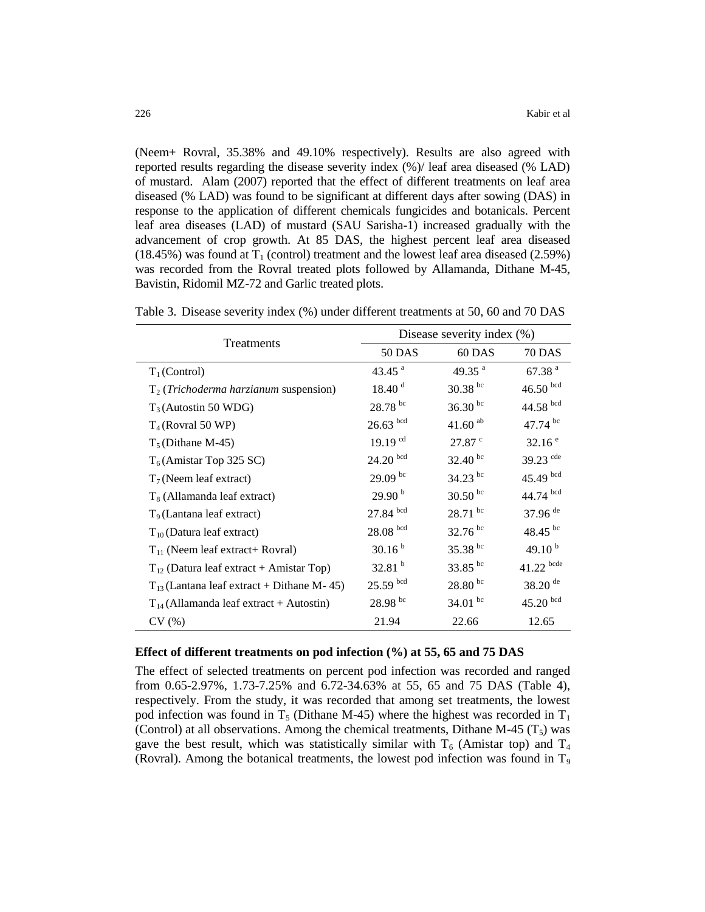(Neem+ Rovral, 35.38% and 49.10% respectively). Results are also agreed with reported results regarding the disease severity index (%)/ leaf area diseased (% LAD) of mustard. Alam (2007) reported that the effect of different treatments on leaf area diseased (% LAD) was found to be significant at different days after sowing (DAS) in response to the application of different chemicals fungicides and botanicals. Percent leaf area diseases (LAD) of mustard (SAU Sarisha-1) increased gradually with the advancement of crop growth. At 85 DAS, the highest percent leaf area diseased  $(18.45%)$  was found at T<sub>1</sub> (control) treatment and the lowest leaf area diseased  $(2.59%)$ was recorded from the Rovral treated plots followed by Allamanda, Dithane M-45, Bavistin, Ridomil MZ-72 and Garlic treated plots.

| Treatments                                       | Disease severity index (%) |                       |                       |
|--------------------------------------------------|----------------------------|-----------------------|-----------------------|
|                                                  | <b>50 DAS</b>              | 60 DAS                | <b>70 DAS</b>         |
| $T_1$ (Control)                                  | 43.45 $^{a}$               | 49.35 $^{a}$          | 67.38 <sup>a</sup>    |
| $T_2$ ( <i>Trichoderma harzianum</i> suspension) | 18.40 <sup>d</sup>         | $30.38$ bc            | $46.50$ bcd           |
| $T_3$ (Autostin 50 WDG)                          | 28.78 bc                   | $36.30 \text{ pc}$    | 44.58 bcd             |
| $T_4$ (Rovral 50 WP)                             | $26.63$ bcd                | $41.60$ <sup>ab</sup> | 47.74 bc              |
| $T_5$ (Dithane M-45)                             | $19.19$ <sup>cd</sup>      | 27.87 <sup>c</sup>    | 32.16 <sup>e</sup>    |
| $T_6$ (Amistar Top 325 SC)                       | $24.20\;\rm{^{bcd}}$       | $32.40^{bc}$          | 39.23 $\text{cde}$    |
| $T_7$ (Neem leaf extract)                        | $29.09^{bc}$               | $34.23$ bc            | $45.49$ bcd           |
| $T_8$ (Allamanda leaf extract)                   | 29.90 <sup>b</sup>         | $30.50$ bc            | 44.74 bcd             |
| $T9$ (Lantana leaf extract)                      | $27.84$ bcd                | $28.71$ bc            | 37.96 <sup>de</sup>   |
| $T_{10}$ (Datura leaf extract)                   | $28.08\;^{\rm bcd}$        | $32.76^{bc}$          | 48.45 bc              |
| $T_{11}$ (Neem leaf extract + Rovral)            | 30.16 <sup>b</sup>         | 35.38 bc              | 49.10 $^{b}$          |
| $T_{12}$ (Datura leaf extract + Amistar Top)     | 32.81h                     | 33.85 bc              | $41.22$ bcde          |
| $T_{13}$ (Lantana leaf extract + Dithane M-45)   | $25.59$ bcd                | $28.80^{bc}$          | $38.20$ <sup>de</sup> |
| $T_{14}$ (Allamanda leaf extract + Autostin)     | $28.98^{bc}$               | 34.01 $^{bc}$         | $45.20$ bcd           |
| CV(%)                                            | 21.94                      | 22.66                 | 12.65                 |

Table 3. Disease severity index (%) under different treatments at 50, 60 and 70 DAS

### **Effect of different treatments on pod infection (%) at 55, 65 and 75 DAS**

The effect of selected treatments on percent pod infection was recorded and ranged from 0.65-2.97%, 1.73-7.25% and 6.72-34.63% at 55, 65 and 75 DAS (Table 4), respectively. From the study, it was recorded that among set treatments, the lowest pod infection was found in  $T_5$  (Dithane M-45) where the highest was recorded in  $T_1$ (Control) at all observations. Among the chemical treatments, Dithane M-45  $(T_5)$  was gave the best result, which was statistically similar with  $T_6$  (Amistar top) and  $T_4$ (Rovral). Among the botanical treatments, the lowest pod infection was found in  $T_9$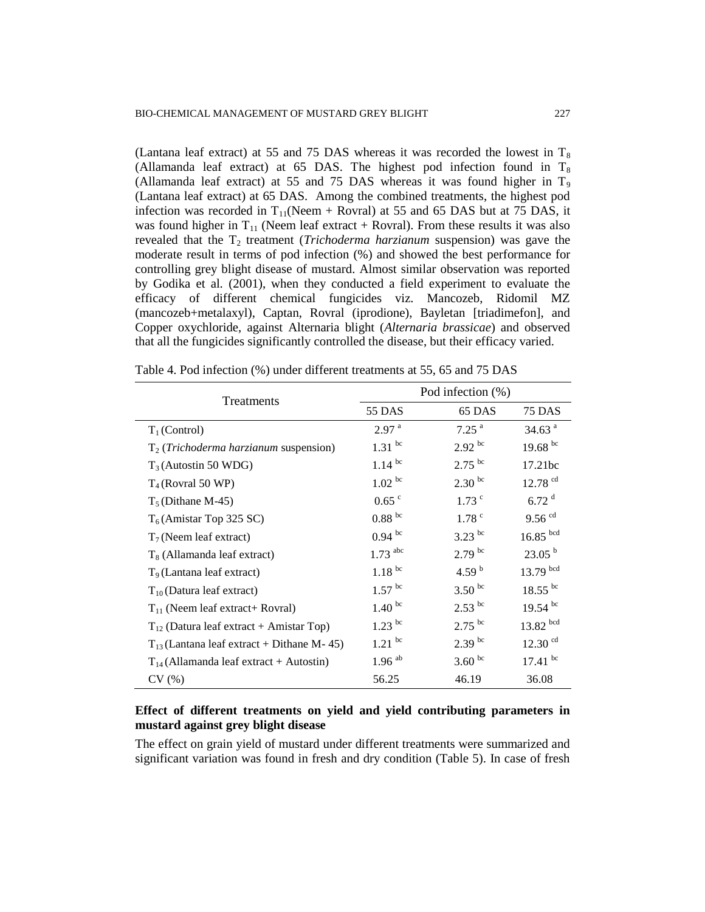(Lantana leaf extract) at 55 and 75 DAS whereas it was recorded the lowest in  $T_8$ (Allamanda leaf extract) at 65 DAS. The highest pod infection found in  $T_8$ (Allamanda leaf extract) at 55 and 75 DAS whereas it was found higher in  $T_9$ (Lantana leaf extract) at 65 DAS. Among the combined treatments, the highest pod infection was recorded in  $T_{11}$ (Neem + Rovral) at 55 and 65 DAS but at 75 DAS, it was found higher in  $T_{11}$  (Neem leaf extract + Rovral). From these results it was also revealed that the T<sub>2</sub> treatment (*Trichoderma harzianum* suspension) was gave the moderate result in terms of pod infection (%) and showed the best performance for controlling grey blight disease of mustard. Almost similar observation was reported by Godika et al*.* (2001), when they conducted a field experiment to evaluate the efficacy of different chemical fungicides viz. Mancozeb, Ridomil MZ (mancozeb+metalaxyl), Captan, Rovral (iprodione), Bayletan [triadimefon], and Copper oxychloride, against Alternaria blight (*Alternaria brassicae*) and observed that all the fungicides significantly controlled the disease, but their efficacy varied.

| Treatments                                       |                       | Pod infection (%)           |                       |
|--------------------------------------------------|-----------------------|-----------------------------|-----------------------|
|                                                  | 55 DAS                | 65 DAS                      | <b>75 DAS</b>         |
| $T_1$ (Control)                                  | 2.97 <sup>a</sup>     | $7.25$ <sup>a</sup>         | 34.63 <sup>a</sup>    |
| $T_2$ ( <i>Trichoderma harzianum</i> suspension) | $1.31$ bc             | $2.92^{bc}$                 | 19.68 $^{bc}$         |
| $T_3$ (Autostin 50 WDG)                          | $1.14$ bc             | $2.75$ bc                   | 17.21bc               |
| $T_4$ (Rovral 50 WP)                             | $1.02^{bc}$           | $2.30 \text{ }^{\text{bc}}$ | $12.78$ <sup>cd</sup> |
| $T_5$ (Dithane M-45)                             | $0.65$ $\degree$      | $1.73$ $\degree$            | 6.72 <sup>d</sup>     |
| $T_6$ (Amistar Top 325 SC)                       | 0.88e                 | 1.78 <sup>c</sup>           | $9.56$ <sup>cd</sup>  |
| $T_7$ (Neem leaf extract)                        | $0.94$ bc             | $3.23$ bc                   | $16.85$ bcd           |
| $T_8$ (Allamanda leaf extract)                   | $1.73$ <sup>abc</sup> | $2.79$ <sup>bc</sup>        | 23.05 <sup>b</sup>    |
| $T9$ (Lantana leaf extract)                      | $1.18^{bc}$           | 4.59 $^{\rm b}$             | $13.79$ bcd           |
| $T_{10}$ (Datura leaf extract)                   | $1.57$ bc             | $3.50$ bc                   | $18.55$ bc            |
| $T_{11}$ (Neem leaf extract+ Rovral)             | 1.40 <sup>bc</sup>    | $2.53$ bc                   | $19.54$ bc            |
| $T_{12}$ (Datura leaf extract + Amistar Top)     | $1.23$ bc             | $2.75$ <sup>bc</sup>        | $13.82$ bcd           |
| $T_{13}$ (Lantana leaf extract + Dithane M-45)   | $1.21$ bc             | $2.39$ <sup>bc</sup>        | $12.30$ <sup>cd</sup> |
| $T_{14}$ (Allamanda leaf extract + Autostin)     | $1.96$ <sup>ab</sup>  | $3.60$ bc                   | $17.41$ bc            |
| CV(%)                                            | 56.25                 | 46.19                       | 36.08                 |

Table 4. Pod infection (%) under different treatments at 55, 65 and 75 DAS

# **Effect of different treatments on yield and yield contributing parameters in mustard against grey blight disease**

The effect on grain yield of mustard under different treatments were summarized and significant variation was found in fresh and dry condition (Table 5). In case of fresh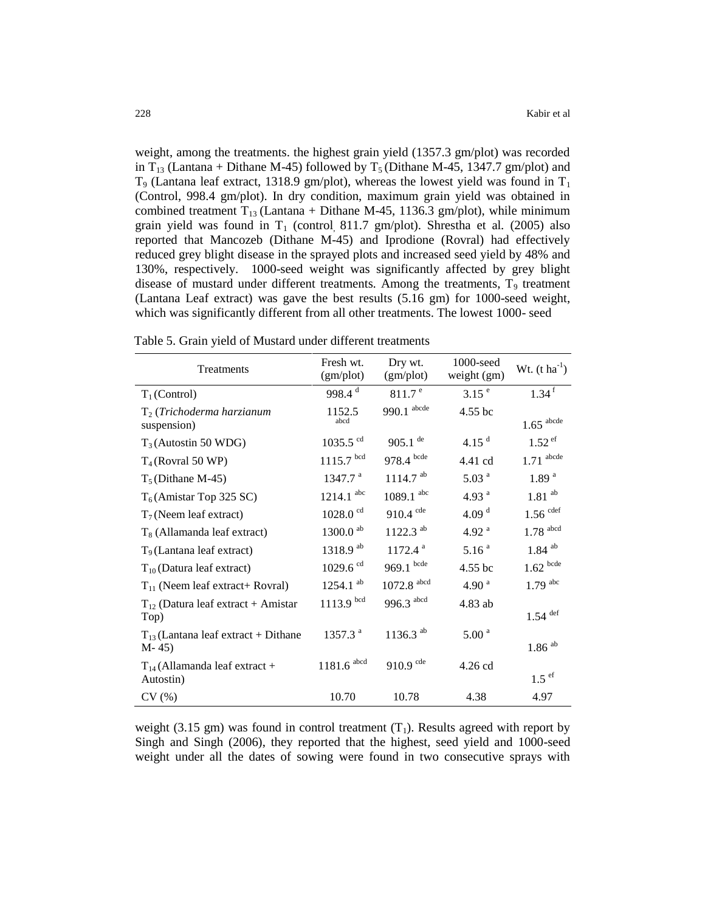weight, among the treatments. the highest grain yield (1357.3 gm/plot) was recorded in T<sub>13</sub> (Lantana + Dithane M-45) followed by T<sub>5</sub> (Dithane M-45, 1347.7 gm/plot) and  $T_9$  (Lantana leaf extract, 1318.9 gm/plot), whereas the lowest yield was found in  $T_1$ (Control, 998.4 gm/plot). In dry condition, maximum grain yield was obtained in combined treatment  $T_{13}$  (Lantana + Dithane M-45, 1136.3 gm/plot), while minimum grain yield was found in  $T_1$  (control, 811.7 gm/plot). Shrestha et al. (2005) also reported that Mancozeb (Dithane M-45) and Iprodione (Rovral) had effectively reduced grey blight disease in the sprayed plots and increased seed yield by 48% and 130%, respectively. 1000-seed weight was significantly affected by grey blight disease of mustard under different treatments. Among the treatments,  $T<sub>9</sub>$  treatment (Lantana Leaf extract) was gave the best results (5.16 gm) for 1000-seed weight, which was significantly different from all other treatments. The lowest 1000- seed

| Treatments                                         | Fresh wt.<br>(gm/plot)  | Dry wt.<br>(gm/plot)     | 1000-seed<br>weight (gm) | Wt. $(t \text{ ha}^{-1})$ |
|----------------------------------------------------|-------------------------|--------------------------|--------------------------|---------------------------|
| $T_1$ (Control)                                    | 998.4 $d$               | 811.7 <sup>e</sup>       | 3.15 <sup>e</sup>        | $1.34$ <sup>f</sup>       |
| $T_2$ (Trichoderma harzianum<br>suspension)        | 1152.5<br>abcd          | $990.1$ abcde            | 4.55 bc                  | $1.65$ <sup>abcde</sup>   |
| $T_3$ (Autostin 50 WDG)                            | 1035.5 $^{cd}$          | $905.1$ <sup>de</sup>    | 4.15 $^{\rm d}$          | $1.52$ ef                 |
| $T_4$ (Rovral 50 WP)                               | $1115.7$ bcd            | $978.4$ bcde             | 4.41 cd                  | $1.71$ abcde              |
| $T_5$ (Dithane M-45)                               | 1347.7 <sup>a</sup>     | $1114.7$ <sup>ab</sup>   | 5.03 <sup>a</sup>        | 1.89 <sup>a</sup>         |
| $T_6$ (Amistar Top 325 SC)                         | $1214.1$ <sup>abc</sup> | $1089.1$ <sup>abc</sup>  | 4.93 $^{a}$              | $1.81$ $^{\rm ab}$        |
| $T_7$ (Neem leaf extract)                          | $1028.0$ <sup>cd</sup>  | $910.4$ cde              | 4.09 $d$                 | $1.56$ cdef               |
| $T_8$ (Allamanda leaf extract)                     | $1300.0$ <sup>ab</sup>  | $1122.3$ <sup>ab</sup>   | 4.92 $a$                 | $1.78$ <sup>abcd</sup>    |
| $T9$ (Lantana leaf extract)                        | 1318.9 ab               | $1172.4$ <sup>a</sup>    | 5.16 <sup>a</sup>        | $1.84$ <sup>ab</sup>      |
| $T_{10}$ (Datura leaf extract)                     | $1029.6$ <sup>cd</sup>  | $969.1$ bcde             | 4.55 bc                  | $1.62\ ^{\rm bede}$       |
| $T_{11}$ (Neem leaf extract+ Rovral)               | $1254.1$ <sup>ab</sup>  | $1072.8$ <sup>abcd</sup> | 4.90 $^{a}$              | $1.79$ abc                |
| $T_{12}$ (Datura leaf extract + Amistar<br>Top)    | $1113.9$ bcd            | 996.3 abcd               | 4.83 ab                  | $1.54$ <sup>def</sup>     |
| $T_{13}$ (Lantana leaf extract + Dithane<br>$M-45$ | 1357.3 <sup>a</sup>     | $1136.3$ <sup>ab</sup>   | 5.00 <sup>a</sup>        | $1.86$ $^{\rm ab}$        |
| $T_{14}$ (Allamanda leaf extract +<br>Autostin)    | $1181.6$ abcd           | 910.9 cde                | 4.26 cd                  | $1.5$ ef                  |
| CV(%)                                              | 10.70                   | 10.78                    | 4.38                     | 4.97                      |

Table 5. Grain yield of Mustard under different treatments

weight (3.15 gm) was found in control treatment  $(T_1)$ . Results agreed with report by Singh and Singh (2006), they reported that the highest, seed yield and 1000-seed weight under all the dates of sowing were found in two consecutive sprays with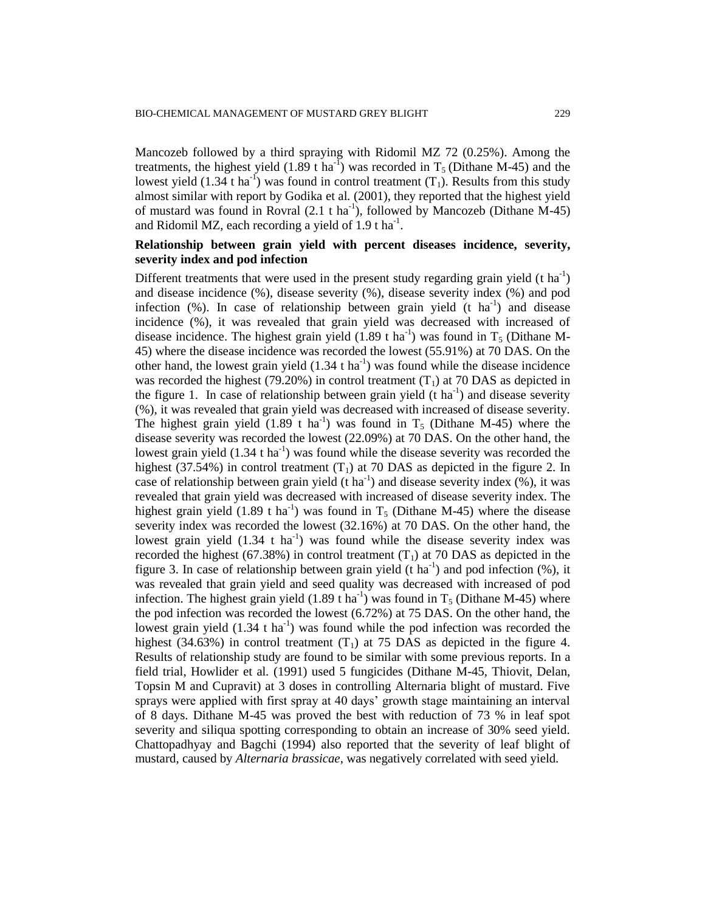Mancozeb followed by a third spraying with Ridomil MZ 72 (0.25%). Among the treatments, the highest yield  $(1.89 \text{ t ha}^{-1})$  was recorded in T<sub>5</sub> (Dithane M-45) and the lowest yield  $(1.34 \text{ t} \text{ ha}^{-1})$  was found in control treatment  $(T_1)$ . Results from this study almost similar with report by Godika et al*.* (2001), they reported that the highest yield of mustard was found in Rovral  $(2.1 \text{ t ha}^{-1})$ , followed by Mancozeb (Dithane M-45) and Ridomil MZ, each recording a yield of  $1.9$  t ha<sup>-1</sup>.

# **Relationship between grain yield with percent diseases incidence, severity, severity index and pod infection**

Different treatments that were used in the present study regarding grain yield  $(t \text{ ha}^{-1})$ and disease incidence (%), disease severity (%), disease severity index (%) and pod infection  $(\%)$ . In case of relationship between grain yield  $(t \text{ ha}^{-1})$  and disease incidence (%), it was revealed that grain yield was decreased with increased of disease incidence. The highest grain yield  $(1.89 \text{ t ha}^{-1})$  was found in T<sub>5</sub> (Dithane M-45) where the disease incidence was recorded the lowest (55.91%) at 70 DAS. On the other hand, the lowest grain yield  $(1.34 \text{ t ha}^{-1})$  was found while the disease incidence was recorded the highest (79.20%) in control treatment  $(T_1)$  at 70 DAS as depicted in the figure 1. In case of relationship between grain yield  $(t \text{ ha}^{-1})$  and disease severity (%), it was revealed that grain yield was decreased with increased of disease severity. The highest grain yield  $(1.89 \text{ t} \text{ ha}^{-1})$  was found in T<sub>5</sub> (Dithane M-45) where the disease severity was recorded the lowest (22.09%) at 70 DAS. On the other hand, the lowest grain yield  $(1.34 \text{ tha}^{-1})$  was found while the disease severity was recorded the highest (37.54%) in control treatment  $(T_1)$  at 70 DAS as depicted in the figure 2. In case of relationship between grain yield  $(t \text{ ha}^{-1})$  and disease severity index  $(\%)$ , it was revealed that grain yield was decreased with increased of disease severity index. The highest grain yield  $(1.89 \text{ t ha}^{-1})$  was found in T<sub>5</sub> (Dithane M-45) where the disease severity index was recorded the lowest (32.16%) at 70 DAS. On the other hand, the lowest grain yield  $(1.34 \text{ t} \text{ ha}^{-1})$  was found while the disease severity index was recorded the highest (67.38%) in control treatment  $(T_1)$  at 70 DAS as depicted in the figure 3. In case of relationship between grain yield (t ha<sup>-1</sup>) and pod infection  $(\%)$ , it was revealed that grain yield and seed quality was decreased with increased of pod infection. The highest grain yield  $(1.89 \text{ t} \text{ ha}^{-1})$  was found in T<sub>5</sub> (Dithane M-45) where the pod infection was recorded the lowest (6.72%) at 75 DAS. On the other hand, the lowest grain yield  $(1.34 \text{ t ha}^{-1})$  was found while the pod infection was recorded the highest (34.63%) in control treatment  $(T_1)$  at 75 DAS as depicted in the figure 4. Results of relationship study are found to be similar with some previous reports. In a field trial, Howlider et al*.* (1991) used 5 fungicides (Dithane M-45, Thiovit, Delan, Topsin M and Cupravit) at 3 doses in controlling Alternaria blight of mustard. Five sprays were applied with first spray at 40 days' growth stage maintaining an interval of 8 days. Dithane M-45 was proved the best with reduction of 73 % in leaf spot severity and siliqua spotting corresponding to obtain an increase of 30% seed yield. Chattopadhyay and Bagchi (1994) also reported that the severity of leaf blight of mustard, caused by *Alternaria brassicae*, was negatively correlated with seed yield.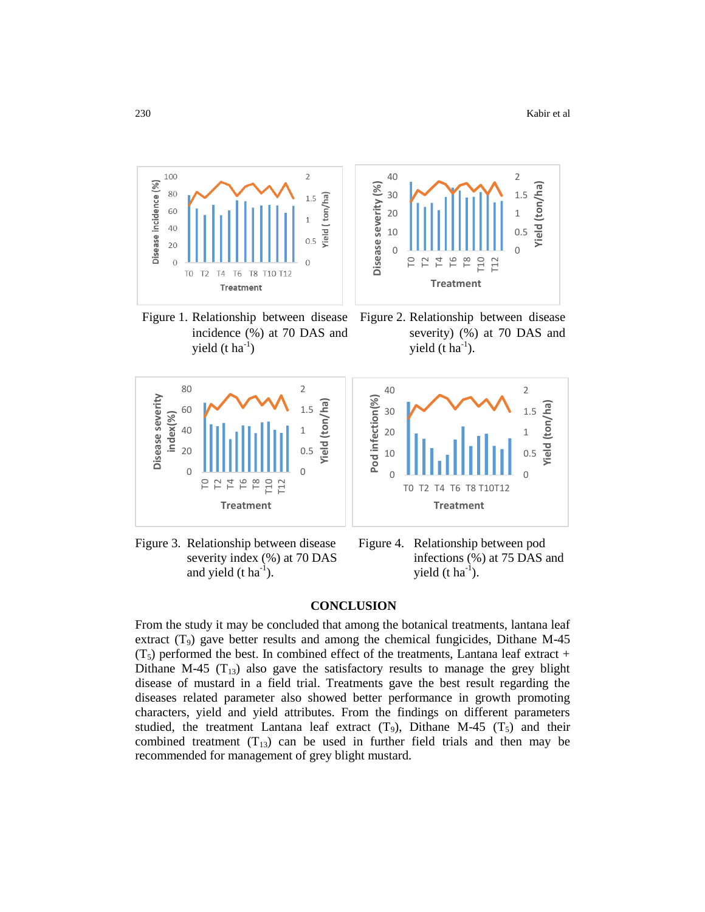

Figure 1. Relationship between disease incidence (%) at 70 DAS and yield  $(t \text{ ha}^{-1})$ 

Figure 2. Relationship between disease severity) (%) at 70 DAS and yield  $(t \text{ ha}^{-1})$ .





Figure 3. Relationship between disease severity index (%) at 70 DAS and yield  $(t \, ha^{-1})$ .

Figure 4. Relationship between pod infections (%) at 75 DAS and yield  $(t \text{ ha}^{-1})$ .

### **CONCLUSION**

From the study it may be concluded that among the botanical treatments, lantana leaf extract  $(T_9)$  gave better results and among the chemical fungicides, Dithane M-45  $(T<sub>5</sub>)$  performed the best. In combined effect of the treatments, Lantana leaf extract + Dithane M-45  $(T_{13})$  also gave the satisfactory results to manage the grey blight disease of mustard in a field trial. Treatments gave the best result regarding the diseases related parameter also showed better performance in growth promoting characters, yield and yield attributes. From the findings on different parameters studied, the treatment Lantana leaf extract  $(T_9)$ , Dithane M-45  $(T_5)$  and their combined treatment  $(T_{13})$  can be used in further field trials and then may be recommended for management of grey blight mustard.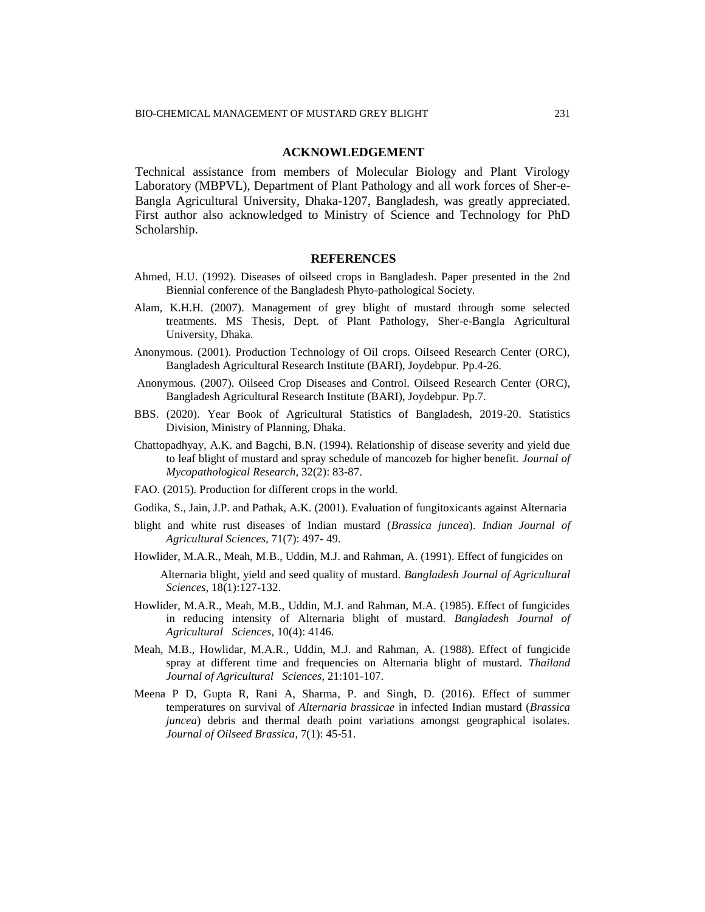# **ACKNOWLEDGEMENT**

Technical assistance from members of Molecular Biology and Plant Virology Laboratory (MBPVL), Department of Plant Pathology and all work forces of Sher-e-Bangla Agricultural University, Dhaka-1207, Bangladesh, was greatly appreciated. First author also acknowledged to Ministry of Science and Technology for PhD Scholarship.

#### **REFERENCES**

- Ahmed, H.U. (1992). Diseases of oilseed crops in Bangladesh. Paper presented in the 2nd Biennial conference of the Bangladesh Phyto-pathological Society.
- Alam, K.H.H. (2007). Management of grey blight of mustard through some selected treatments. MS Thesis, Dept. of Plant Pathology, Sher-e-Bangla Agricultural University, Dhaka.
- Anonymous. (2001). Production Technology of Oil crops. Oilseed Research Center (ORC), Bangladesh Agricultural Research Institute (BARI), Joydebpur. Pp.4-26.
- Anonymous. (2007). Oilseed Crop Diseases and Control. Oilseed Research Center (ORC), Bangladesh Agricultural Research Institute (BARI), Joydebpur. Pp.7.
- BBS. (2020). Year Book of Agricultural Statistics of Bangladesh, 2019-20. Statistics Division, Ministry of Planning, Dhaka.
- Chattopadhyay, A.K. and Bagchi, B.N. (1994). Relationship of disease severity and yield due to leaf blight of mustard and spray schedule of mancozeb for higher benefit. *Journal of Mycopathological Research*, 32(2): 83-87.
- FAO. (2015). Production for different crops in the world.
- Godika, S., Jain, J.P. and Pathak, A.K. (2001). Evaluation of fungitoxicants against Alternaria
- blight and white rust diseases of Indian mustard (*Brassica juncea*). *Indian Journal of Agricultural Sciences,* 71(7): 497- 49.
- Howlider, M.A.R., Meah, M.B., Uddin, M.J. and Rahman, A. (1991). Effect of fungicides on
	- Alternaria blight, yield and seed quality of mustard. *Bangladesh Journal of Agricultural Sciences*, 18(1):127-132.
- Howlider, M.A.R., Meah, M.B., Uddin, M.J. and Rahman, M.A. (1985). Effect of fungicides in reducing intensity of Alternaria blight of mustard. *Bangladesh Journal of Agricultural Sciences,* 10(4): 4146.
- Meah, M.B., Howlidar, M.A.R., Uddin, M.J. and Rahman, A. (1988). Effect of fungicide spray at different time and frequencies on Alternaria blight of mustard. *Thailand Journal of Agricultural Sciences,* 21:101-107.
- Meena P D, Gupta R, Rani A, Sharma, P. and Singh, D. (2016). Effect of summer temperatures on survival of *Alternaria brassicae* in infected Indian mustard (*Brassica juncea*) debris and thermal death point variations amongst geographical isolates. *Journal of Oilseed Brassica*, 7(1): 45-51.